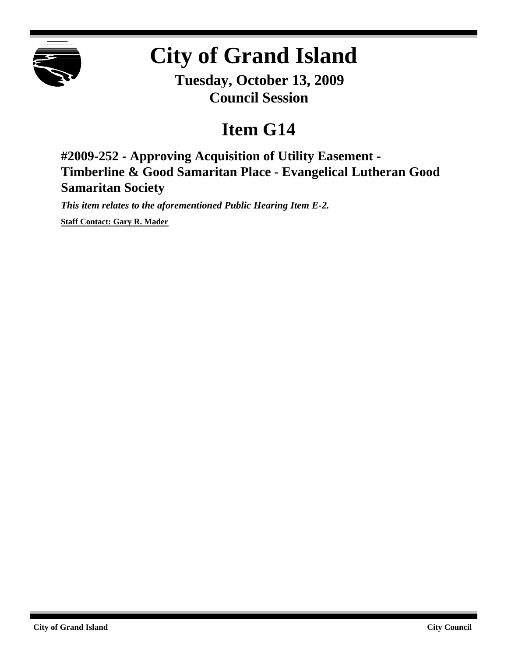

# **City of Grand Island**

**Tuesday, October 13, 2009 Council Session**

# **Item G14**

**#2009-252 - Approving Acquisition of Utility Easement - Timberline & Good Samaritan Place - Evangelical Lutheran Good Samaritan Society**

*This item relates to the aforementioned Public Hearing Item E-2.*

**Staff Contact: Gary R. Mader**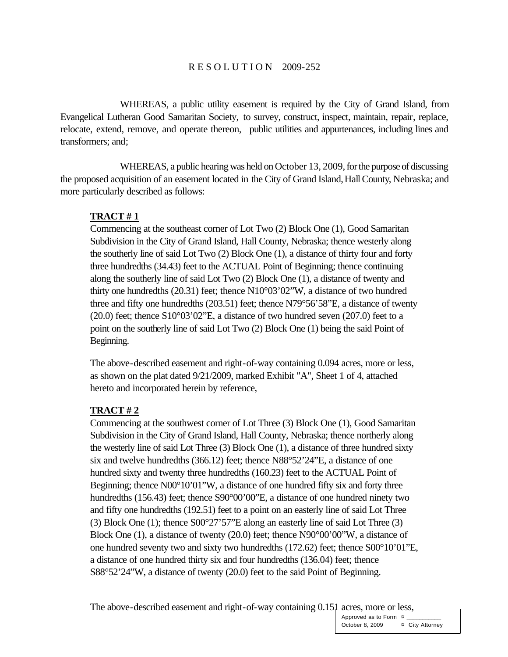#### R E S O L U T I O N 2009-252

WHEREAS, a public utility easement is required by the City of Grand Island, from Evangelical Lutheran Good Samaritan Society, to survey, construct, inspect, maintain, repair, replace, relocate, extend, remove, and operate thereon, public utilities and appurtenances, including lines and transformers; and;

WHEREAS, a public hearing was held on October 13, 2009, for the purpose of discussing the proposed acquisition of an easement located in the City of Grand Island, Hall County, Nebraska; and more particularly described as follows:

#### **TRACT # 1**

Commencing at the southeast corner of Lot Two (2) Block One (1), Good Samaritan Subdivision in the City of Grand Island, Hall County, Nebraska; thence westerly along the southerly line of said Lot Two (2) Block One (1), a distance of thirty four and forty three hundredths (34.43) feet to the ACTUAL Point of Beginning; thence continuing along the southerly line of said Lot Two (2) Block One (1), a distance of twenty and thirty one hundredths (20.31) feet; thence N10°03'02"W, a distance of two hundred three and fifty one hundredths (203.51) feet; thence N79°56'58"E, a distance of twenty  $(20.0)$  feet; thence S10°03'02"E, a distance of two hundred seven  $(207.0)$  feet to a point on the southerly line of said Lot Two (2) Block One (1) being the said Point of Beginning.

The above-described easement and right-of-way containing 0.094 acres, more or less, as shown on the plat dated 9/21/2009, marked Exhibit "A", Sheet 1 of 4, attached hereto and incorporated herein by reference,

#### **TRACT # 2**

Commencing at the southwest corner of Lot Three (3) Block One (1), Good Samaritan Subdivision in the City of Grand Island, Hall County, Nebraska; thence northerly along the westerly line of said Lot Three (3) Block One (1), a distance of three hundred sixty six and twelve hundredths (366.12) feet; thence N88°52'24"E, a distance of one hundred sixty and twenty three hundredths (160.23) feet to the ACTUAL Point of Beginning; thence  $N00^{\circ}10'01''W$ , a distance of one hundred fifty six and forty three hundredths (156.43) feet; thence S90°00'00"E, a distance of one hundred ninety two and fifty one hundredths (192.51) feet to a point on an easterly line of said Lot Three (3) Block One (1); thence S00°27'57"E along an easterly line of said Lot Three (3) Block One (1), a distance of twenty (20.0) feet; thence N90°00'00"W, a distance of one hundred seventy two and sixty two hundredths (172.62) feet; thence S00°10'01"E, a distance of one hundred thirty six and four hundredths (136.04) feet; thence S88°52'24"W, a distance of twenty (20.0) feet to the said Point of Beginning.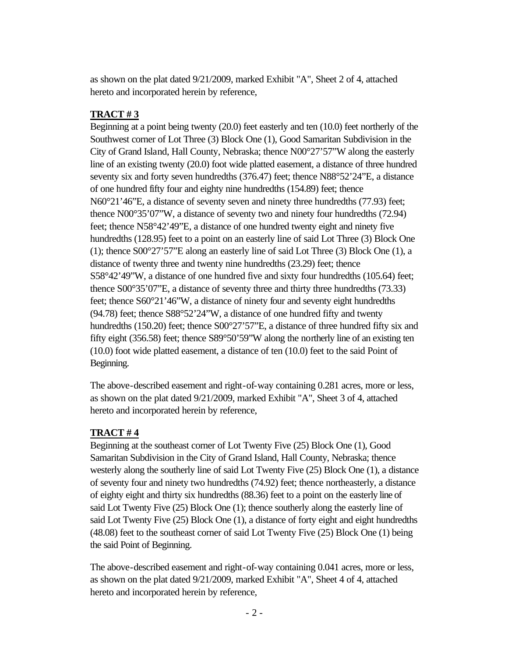as shown on the plat dated 9/21/2009, marked Exhibit "A", Sheet 2 of 4, attached hereto and incorporated herein by reference,

## **TRACT # 3**

Beginning at a point being twenty (20.0) feet easterly and ten (10.0) feet northerly of the Southwest corner of Lot Three (3) Block One (1), Good Samaritan Subdivision in the City of Grand Island, Hall County, Nebraska; thence N00°27'57"W along the easterly line of an existing twenty (20.0) foot wide platted easement, a distance of three hundred seventy six and forty seven hundredths (376.47) feet; thence N88°52'24"E, a distance of one hundred fifty four and eighty nine hundredths (154.89) feet; thence N60°21'46"E, a distance of seventy seven and ninety three hundredths (77.93) feet; thence N00°35'07"W, a distance of seventy two and ninety four hundredths (72.94) feet; thence N58°42'49"E, a distance of one hundred twenty eight and ninety five hundredths (128.95) feet to a point on an easterly line of said Lot Three (3) Block One (1); thence S00°27'57"E along an easterly line of said Lot Three (3) Block One (1), a distance of twenty three and twenty nine hundredths (23.29) feet; thence S58°42'49"W, a distance of one hundred five and sixty four hundredths (105.64) feet; thence S00°35'07"E, a distance of seventy three and thirty three hundredths (73.33) feet; thence S60°21'46"W, a distance of ninety four and seventy eight hundredths (94.78) feet; thence S88°52'24"W, a distance of one hundred fifty and twenty hundredths (150.20) feet; thence S00°27'57"E, a distance of three hundred fifty six and fifty eight (356.58) feet; thence S89°50'59"W along the northerly line of an existing ten (10.0) foot wide platted easement, a distance of ten (10.0) feet to the said Point of Beginning.

The above-described easement and right-of-way containing 0.281 acres, more or less, as shown on the plat dated 9/21/2009, marked Exhibit "A", Sheet 3 of 4, attached hereto and incorporated herein by reference,

### **TRACT # 4**

Beginning at the southeast corner of Lot Twenty Five (25) Block One (1), Good Samaritan Subdivision in the City of Grand Island, Hall County, Nebraska; thence westerly along the southerly line of said Lot Twenty Five (25) Block One (1), a distance of seventy four and ninety two hundredths (74.92) feet; thence northeasterly, a distance of eighty eight and thirty six hundredths (88.36) feet to a point on the easterly line of said Lot Twenty Five (25) Block One (1); thence southerly along the easterly line of said Lot Twenty Five (25) Block One (1), a distance of forty eight and eight hundredths (48.08) feet to the southeast corner of said Lot Twenty Five (25) Block One (1) being the said Point of Beginning.

The above-described easement and right-of-way containing 0.041 acres, more or less, as shown on the plat dated 9/21/2009, marked Exhibit "A", Sheet 4 of 4, attached hereto and incorporated herein by reference,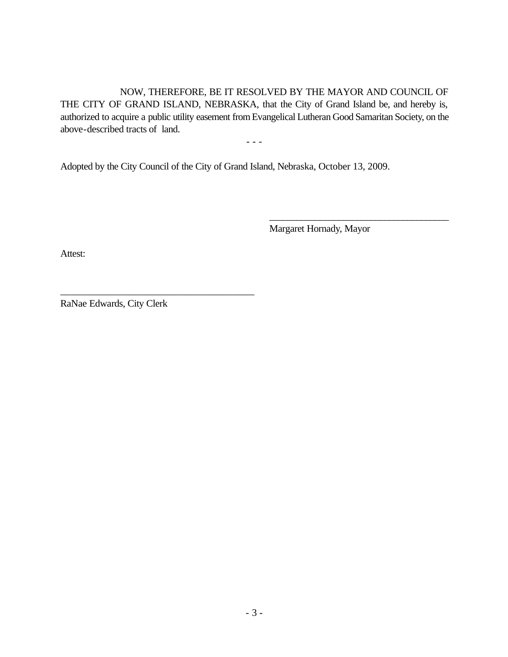NOW, THEREFORE, BE IT RESOLVED BY THE MAYOR AND COUNCIL OF THE CITY OF GRAND ISLAND, NEBRASKA, that the City of Grand Island be, and hereby is, authorized to acquire a public utility easement fromEvangelical Lutheran Good Samaritan Society, on the above-described tracts of land.

- - -

Adopted by the City Council of the City of Grand Island, Nebraska, October 13, 2009.

Margaret Hornady, Mayor

\_\_\_\_\_\_\_\_\_\_\_\_\_\_\_\_\_\_\_\_\_\_\_\_\_\_\_\_\_\_\_\_\_\_\_\_\_\_\_

Attest:

RaNae Edwards, City Clerk

\_\_\_\_\_\_\_\_\_\_\_\_\_\_\_\_\_\_\_\_\_\_\_\_\_\_\_\_\_\_\_\_\_\_\_\_\_\_\_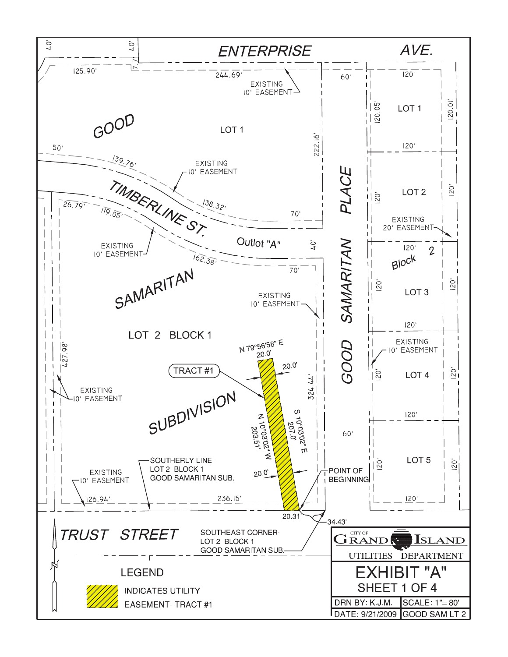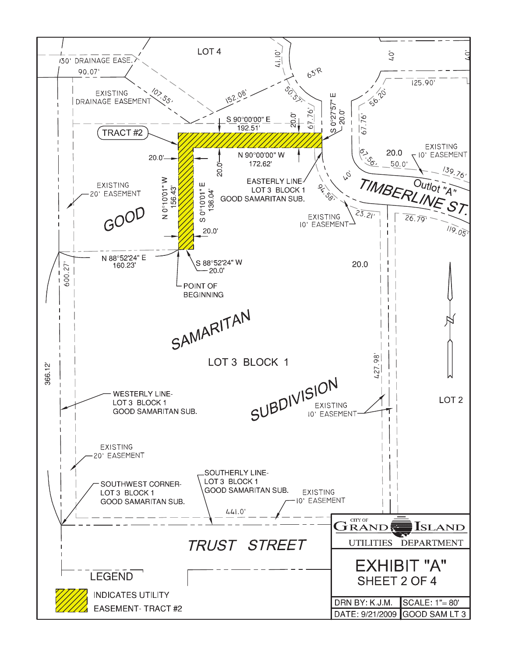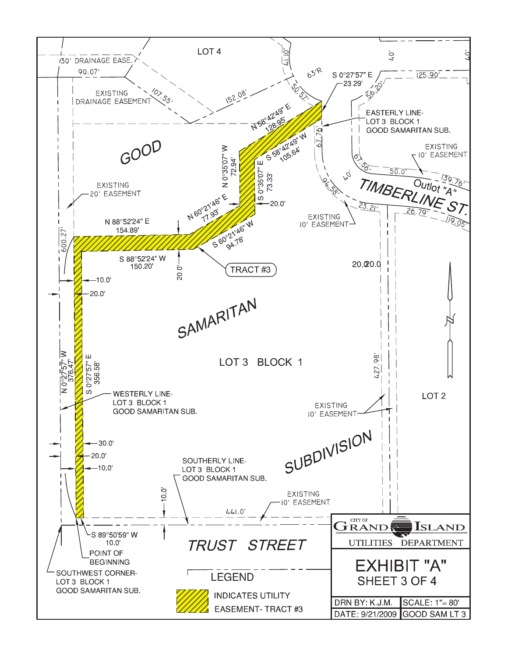